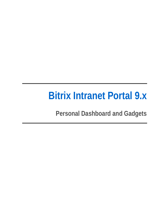# **Bitrix Intranet Portal 9.x**

**Personal Dashboard and Gadgets**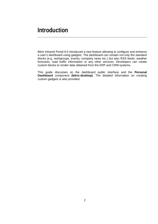Bitrix Intranet Portal 8.0 introduced a new feature allowing to configure and enhance a user's dashboard using gadgets. The dashboard can contain not only the standard blocks (e.g. workgroups, events, company news etc.) but also RSS feeds, weather forecasts, road traffic information or any other services. Developers can create custom blocks to render data obtained from the ERP and CRM systems.

This guide discusses on the dashboard public interface and the **Personal Dashboard** component **(bitrix:desktop)**. The detailed information on creating custom gadgets is also provided.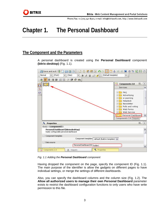# **Chapter 1. The Personal Dashboard**

### **The Component and the Parameters**

A personal dashboard is created using the **Personal Dashboard** component **(bitrix:desktop)** (Fig. 1.1).



*Fig. 1.1 Adding the Personal Dashboard component* 

Having dropped the component on the page, specify the component ID (Fig. 1.1). The main purpose of the identifier is allow the gadgets on different pages to have individual settings, or merge the settings of different dashboards.

Also, you can specify the dashboard columns and the column size (Fig. 1.2). The **Allow all authorized users to manage their own Personal Dashboard** parameter exists to restrict the dashboard configuration functions to only users who have write permission to this file.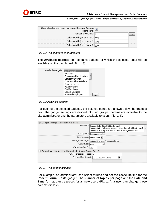

| Allow all authorized users to manage their own Personal [7]<br>Dashboard: [7] |  |
|-------------------------------------------------------------------------------|--|
| Number of columns: $\frac{1}{3}$                                              |  |
| Column width (px or %) #1: $33\%$                                             |  |
| Column width (px or %) #2: $ 33\% $                                           |  |
| Column width (px or %) #3: 33%                                                |  |

#### *Fig. 1.2 The component parameters*

The **Available gadgets** box contains gadgets of which the selected ones will be available on the dashboard (Fig. 1.3).



*Fig. 1.3 Available gadgets* 

For each of the selected gadgets, the settings panes are shown below the gadgets box. The gadget settings are divided into two groups: parameters available to the site administrator and the parameters available to users (Fig. 1.4).

| Gadget settings "Recent Forum Posts"<br>$\vert - \vert$                     |                                                                                                                                                                             |
|-----------------------------------------------------------------------------|-----------------------------------------------------------------------------------------------------------------------------------------------------------------------------|
|                                                                             | Forum ID: Comments for Files [Hidden forums]<br>Comments for Sales and Marketing Files library [Hidden forums]<br>Comments for Top Management Files library [Hidden forums] |
|                                                                             | Sort by field:   Last message   =                                                                                                                                           |
|                                                                             | Sorting order:   descending                                                                                                                                                 |
|                                                                             | Message view page: //community/forum/messages/forun                                                                                                                         |
| Cache type: Auto                                                            |                                                                                                                                                                             |
| Cache time (sec.): $ 180\rangle$                                            |                                                                                                                                                                             |
| Default user settings for the gadget "Recent Forum Posts"<br>$\overline{ }$ |                                                                                                                                                                             |
| Number of topics per page: $\vert_{6}$                                      |                                                                                                                                                                             |
|                                                                             | Date and Time format: 22,02,2007 07:30:45                                                                                                                                   |

#### *Fig. 1.4 The gadget settings*

For example, an administrator can select forums and set the cache lifetime for the **Recent Forum Posts** gadget. The **Number of topics per page** and the **Date and Time format** can be preset for all new users (Fig. 1.4); a user can change these parameters later.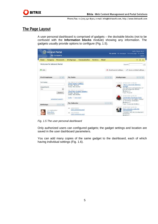

# **The Page Layout**

A user personal dashboard is comprised of gadgets – the dockable blocks (not to be confused with the **Information blocks** module) showing any information. The gadgets usually provide options to configure (Fig. 1.5).

| <b>Intranet Portal</b><br>My Company    |                                                                                              |                 |                                                                                               | Hello, Jason Bom<br>My portal My messages Personal page My profile<br>Logaut                                           |  |
|-----------------------------------------|----------------------------------------------------------------------------------------------|-----------------|-----------------------------------------------------------------------------------------------|------------------------------------------------------------------------------------------------------------------------|--|
| Company<br>Home<br><b>Documents</b>     | Communication<br><b>Services</b><br><b>Workgroups</b>                                        | About           |                                                                                               | ÷                                                                                                                      |  |
| Welcome To Intranet Portal              |                                                                                              | Search<br>P.    |                                                                                               |                                                                                                                        |  |
| Add                                     |                                                                                              |                 | <b>X</b> Reset ourrent settings                                                               | Save as default settings                                                                                               |  |
| $-1x$<br>Find Employee                  | <b>My Tasks</b>                                                                              | $ w  =  X $     | Workaroups                                                                                    | $ w  =  X $                                                                                                            |  |
| Full Names<br>Department:               | due date is not assigned<br>Check global settings<br>Priority: Normal<br>Status: Not started |                 |                                                                                               | 09/14/2009 13:04 Aft<br>"New Corporate Identity"<br>project                                                            |  |
| no<br>×<br><b>Search</b>                | due date is not assigned.<br><b>Check for System Updates</b><br>Priority: Normal             |                 | Development and application of<br>the new corporate identity<br>Mambara: 1<br>Topic: Projects |                                                                                                                        |  |
| extended search -                       | Statist: Not started<br>tasks i I new task »                                                 |                 |                                                                                               | 09/14/2009 13:04:46<br>Corporate Christmas Party<br>Discuss here all matters related<br>to Christmas gelebration       |  |
| $ x  =  x $<br>Birthdays                | My Calendar                                                                                  | $\bullet$ =   K |                                                                                               | Members: 1<br>Topic: Corporate Holidays                                                                                |  |
| 14 september<br>Bigg Alsa<br>Accountant | 10/24/2009<br>品<br>Visit swimming pap<br>10/17/2009<br>19<br>Visit swimming popl             |                 |                                                                                               | 09/14/2009 13:04:46<br>New company web site<br>development<br>Company web site development<br>workanoup.<br>Mamhare: 1 |  |

*Fig. 1.5 The user personal dashboard* 

Only authorized users can configured gadgets; the gadget settings and location are saved in the user dashboard parameters.

You can add many copies of the same gadget to the dashboard, each of which having individual settings (Fig. 1.6).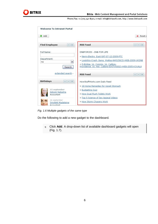

| <b>Welcome To Intranet Portal</b>                                   |                                                                                                                                                                                                                          |                              |
|---------------------------------------------------------------------|--------------------------------------------------------------------------------------------------------------------------------------------------------------------------------------------------------------------------|------------------------------|
| $+$ Add                                                             |                                                                                                                                                                                                                          | X Reset c                    |
| <b>Find Employee</b><br>$\vert x \vert$<br>$\overline{\phantom{m}}$ | <b>RSS Feed</b>                                                                                                                                                                                                          | $=$ $ \times$                |
| Full Name:<br>Department:<br>$\checkmark$<br>no<br>Search           | DNBFORCES - DNB FOR LIFE<br>» Nerm-Electro East-SAT-07-12-2009-PTC<br>» Logistics-Crash Bang Wallop-NHS156CD-WEB-2009-UKDNB<br>» D-Bridge Vs Commix Vs Calibre-<br>Providence Vs Hot Calibre-(EXITVS002)-WEB-2005-KOUALA |                              |
| extended search >                                                   | <b>RSS Feed</b>                                                                                                                                                                                                          | $=$ $\vert - \vert$ $\times$ |
| <b>Birthdays</b><br>$\infty$<br>$\vert - \vert$<br>$\mathcal{L}$    | HowStuffWorks.com Daily Feed<br>» 18 Home Remedies for Upset Stomach                                                                                                                                                     |                              |
| 15 september<br><b>Adcock Natasha</b><br>Accountant                 | » Budgeting Quiz<br>» How Dual Flush Toilets Work<br>» Top 5 Science of Sex Appeal Videos                                                                                                                                |                              |
| 16 september<br>Smollett Madeleine<br>Accountant                    | » How Storm Chasers Work                                                                                                                                                                                                 |                              |

*Fig. 1.6 Multiple gadgets of the same type* 

Do the following to add a new gadget to the dashboard.

q Click **Add**. A drop-down list of available dashboard gadgets will open (Fig. 1.7).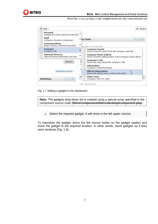

| Gadgets for most used personal tools |                                                                                        |
|--------------------------------------|----------------------------------------------------------------------------------------|
|                                      | ▶ 1y Tasks                                                                             |
|                                      | ue date is not assigned                                                                |
|                                      | <b>Company Events</b><br>Shows soonest events from the company calendar                |
|                                      | <b>Company Photo Gallery</b><br>Shows recently added photos in the company photo album |
| $\frac{1}{P}$                        | <b>Company's Life</b><br>Shows the news about the company's life                       |
|                                      | <b>Information</b><br>Company's advertisements                                         |
|                                      | Official Information<br>L)<br>Shows the official news, events and orders               |
|                                      | Video News<br>Company news on video                                                    |
|                                      |                                                                                        |

*Fig. 1.7 Adding a gadget to the dashboard* 

**Note:** The gadgets drop-down list is created using a special array specified in the component source code (**/bitrix/components/bitrix/desktop/component.php**).

q Select the required gadget. It will show in the left upper column.

To reposition the gadget, press the left mouse button on the gadget caption and move the gadget to the required location. In other words, move gadgets as if they were windows (Fig. 1.8).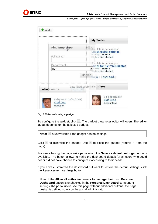

|               | My Tasks                                                         |
|---------------|------------------------------------------------------------------|
| Find Employee | Alue date is not assigned                                        |
| Full Name:    | Check global settings<br>Priority: Normal<br>Status: Not started |
| Department:   | due date is not assigned<br><b>Check for System Updates</b>      |
| no            | viority: Normal<br>Status: Not started                           |
|               | Search tasks I new task                                          |
|               | extended search Birthdays                                        |
| Who's Away    |                                                                  |
|               | 14 september                                                     |

*Fig. 1.8 Repositioning a gadget* 

To configure the gadget, click  $\lceil \cdot \rceil$ . The gadget parameter editor will open. The editor layout depends on the selected gadget.

| Note: $\le$ is unavailable if the gadget has no settings. |
|-----------------------------------------------------------|
|-----------------------------------------------------------|

Click  $\Box$  to minimize the gadget. Use  $\times$  to close the gadget (remove it from the page).

For users having the page write permission, the **Save as default settings** button is available. The button allows to make the dashboard default for all users who could not or did not have chance to configure it according to their needs.

If you have customized the dashboard but want to restore the default settings, click the **Reset current settings** button.

**Note:** If the **Allow all authorized users to manage their own Personal Dashboard** option is unchecked in the **Personal Dashboard** component settings, the portal users see this page without additional buttons; the page design is defined solely by the portal administrator.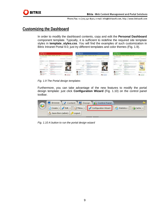

## **Customizing the Dashboard**

In order to modify the dashboard contents, copy and edit the **Personal Dashboard**  component template. Typically, it is sufficient to redefine the required site template styles in **template\_styles.css**. You will find the examples of such customization in Bitrix Intranet Portal 9.0; just try different templates and color themes (Fig. 1.9).

| <b>CO MAIN POTA</b><br>---                                                                      |                                                                                                                                                                                                                                                                                                                                                                                                                                                                                                                                                                                         | <b>THE CALL B</b><br>The shares the company's increasing the page | <b>ED NEBACTION</b><br>---                              |                                                                                                                                                                                                                                                                                                                                                                                                                                                                                                                                                    | <b>Carl Sec Let</b><br>Municipal di message conservation en part | ----                                                             |                                                                                                                                                                                                                                                                                                                                                                                                                                                                                                              |                                                       |
|-------------------------------------------------------------------------------------------------|-----------------------------------------------------------------------------------------------------------------------------------------------------------------------------------------------------------------------------------------------------------------------------------------------------------------------------------------------------------------------------------------------------------------------------------------------------------------------------------------------------------------------------------------------------------------------------------------|-------------------------------------------------------------------|---------------------------------------------------------|----------------------------------------------------------------------------------------------------------------------------------------------------------------------------------------------------------------------------------------------------------------------------------------------------------------------------------------------------------------------------------------------------------------------------------------------------------------------------------------------------------------------------------------------------|------------------------------------------------------------------|------------------------------------------------------------------|--------------------------------------------------------------------------------------------------------------------------------------------------------------------------------------------------------------------------------------------------------------------------------------------------------------------------------------------------------------------------------------------------------------------------------------------------------------------------------------------------------------|-------------------------------------------------------|
|                                                                                                 | first hopes formed distance formulate bodes that<br>______                                                                                                                                                                                                                                                                                                                                                                                                                                                                                                                              | 44.44                                                             |                                                         | bearing Systems (Mobiles Computation System Library                                                                                                                                                                                                                                                                                                                                                                                                                                                                                                |                                                                  |                                                                  | Interior: Regional Chickensin, International Chicken Edge                                                                                                                                                                                                                                                                                                                                                                                                                                                    | ---                                                   |
| <b>RAILED SCIENCESTER</b>                                                                       |                                                                                                                                                                                                                                                                                                                                                                                                                                                                                                                                                                                         |                                                                   | <b>Seminary To Art excited at</b>                       |                                                                                                                                                                                                                                                                                                                                                                                                                                                                                                                                                    |                                                                  | Secondario Tra Artistical Andrea                                 |                                                                                                                                                                                                                                                                                                                                                                                                                                                                                                              |                                                       |
|                                                                                                 |                                                                                                                                                                                                                                                                                                                                                                                                                                                                                                                                                                                         | A resourcement 1. M has a shall while                             | 8.46                                                    |                                                                                                                                                                                                                                                                                                                                                                                                                                                                                                                                                    | R. Grammation officials, 11 of Toyota A. Brank reflects          | 8.44                                                             |                                                                                                                                                                                                                                                                                                                                                                                                                                                                                                              | R. Grammermore Minds, 11 of Third at Atlantic Article |
|                                                                                                 | ---                                                                                                                                                                                                                                                                                                                                                                                                                                                                                                                                                                                     |                                                                   |                                                         |                                                                                                                                                                                                                                                                                                                                                                                                                                                                                                                                                    |                                                                  |                                                                  |                                                                                                                                                                                                                                                                                                                                                                                                                                                                                                              |                                                       |
| <b>CALLED</b><br>---<br>14.041                                                                  | <b>William Avenue Lewis</b><br>TV Hillmore and in become survive<br><b><i><u>START FOR THE CARD OF THE CARD OF THE CARD OF THE CARD OF THE CARD OF THE CARD OF THE CARD OF THE CARD OF THE CARD OF THE CARD OF THE CARD OF THE CARD OF THE CARD OF THE CARD OF THE CARD OF THE CARD OF THE CARD OF THE C</u></i></b><br>-----<br>IT EATED TELM contain instead deposits of<br>complete investments and a<br>and will be conclusively as the state or sup-<br>at her district processing<br><b>Contractor</b><br>Total Indiana at<br>(114 to 14 Street Greenwood to 14<br><b>STARTED</b> |                                                                   | -----<br>---------                                      | $-25000$<br><b>ENR OLE RENG LINTER</b><br>The transport of the Company's state to an excess a string on<br><b>Contractor</b><br><b>CASE LA SEC</b><br>a campaign and the state of the state of the state of the state of the state of the state of the state of the<br>presente e regioni dos sis passoso questo<br>a cartash, an original rates, consider constraints on<br>a carrier de la producta de circular el contenir el contenir el co<br><b>CALIFORNIA</b><br>-----<br>ANTIQUE IS the company's develop side with thin to<br>$2.1 - 2.1$ |                                                                  | <b>ALCOHOL: AND ARRESTS AND RESIDENTS</b>                        | <b>CARL AND A REPORTED</b><br>TWO AT 11 IN 13 Line rate is good a come a<br><b>CONTRACTOR</b><br><b>Contract Contract</b><br><b>CARS CARRIER</b><br>N. F.C., All a services and intermediate developes as<br>presented a committee data alla producto della<br>a cartailly according to the control of constraints of<br>promises do no alta Antaliana en mulgaralada unidas el<br>Chair at minimage<br>and a state of the local distance<br>I Kenturing - Roommerson develop standard de au-<br>$1.1 - 1.1$ | <b>Portfolio</b><br><b>COLOR</b>                      |
| Links around Accords for<br>Allen Street<br><b><i><u>PERSONAL BRAND</u></i></b><br><b>STATE</b> | <b>STATE AND A PROPERTY</b><br>At class avoid in his momen-<br>a demand that continuously<br>and the first party<br><b>FRANCISCO PARADONIAL</b><br>and exchange from a significant processing a control of<br>and in which we want and continued                                                                                                                                                                                                                                                                                                                                        | "Art mercantus and                                                | <b>ATTN: ALT 18 YOU</b><br><b>Analytical statistics</b> | <b>Antium Santa</b><br>THAT I AT MUST BE LAN COMMUNI-<br>and the cities dealership and<br><b>Business Company</b><br><b>All the Charles of American Con-</b><br>THE R. P. LEWIS CO., LANSING, MICH. 49-14039-1-120-2<br>a carried and an announce                                                                                                                                                                                                                                                                                                  | Charles of the American<br><b>STATE</b><br>Chicago III           | <b>ARRESTS AT REAL</b><br><b>Window</b><br><b>STARTED STARTS</b> | Links Stewart<br>THAT I AT AFUR \$7,000 COUNTY<br>profit to the first contract and<br>---<br>Today of the California design entrance and a real-                                                                                                                                                                                                                                                                                                                                                             | <b>SALES PROD</b>                                     |

*Fig. 1.9 The Portal design templates* 

Furthermore, you can take advantage of the new features to modify the portal design template: just click **Configuration Wizard** (Fig. 1.10) on the control panel toolbar.



*Fig. 1.10 A button to run the portal design wizard*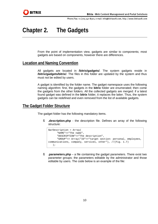

# **Chapter 2. The Gadgets**

From the point of implementation view, gadgets are similar to components; most gadgets are based on components, however there are differences.

### **Location and Naming Convention**

All gadgets are located in **/bitrix/gadgets/**. The system gadgets reside in **/bitrix/gadgets/bitrix/**. The files in this folder are updated by the system and thus must not be edited by users.

A gadget is identified by the folder name. The gadget namespace uses the following naming algorithm: first, the gadgets in the **bitrix** folder are enumerated; then come the gadgets from the other folders. All the collected gadgets are merged: if a latest found gadget was defined in the **bitrix** folder, it replaces the latter. Thus, the system gadgets can be redefined and even removed from the list of available gadgets.

### **The Gadget Folder Structure**

The gadget folder has the following mandatory items.

§ **.description.php** - the description file. Defines an array of the following structure:

```
$arDescription = Array( 
       "NAME"=>"The name", 
       "DESCRIPTION"=>"The description", 
       "GROUP"=> Array("ID"=>"target section: personal, employees, 
communications, company, services, other"), //(Fig. 1.7) 
    );
```
§ **.parameters.php** – a file containing the gadget parameters. There exist two parameter groups: the parameters editable by the administrator and those editable by users. The code below is an example of the file: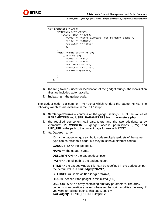```
$arParameters = Array( 
       "PARAMETERS"=> Array( 
           "CACHE_TIME" => array( 
              "NAME" => "Cache lifetime, sec (0-don't cache)", 
              "TYPE" => "STRING", 
              "DEFAULT" => "3600" 
              ), 
       ), 
       "USER_PARAMETERS"=> Array( 
           "CITY"=>Array( 
              "NAME" => "City", 
              "TYPE" => "LIST", 
              "MULTIPLE" => "N", 
              "DEFAULT" => "c213", 
              "VALUES"=>$arCity, 
          ), 
       ), 
    );
```
- § the **lang** folder used for localization of the gadget strings; the localization files are included automatically.
- § **index.php** the gadget code.

The gadget code is a common PHP script which renders the gadget HTML. The following variables are available in the PHP script:

- § **\$arGadgetParams** contains all the gadget settings, i.e. all the values of **PARAMETERS** and **USER\_PARAMETERS** from **.parameters.php**.
- § the required component call parameters and the two additional array elements: **PERMISSION** – gadget access permissions (R|W) and **UPD\_URL** – the path to the current page for use with POST.
- § **\$arGadget** array:

**ID** => the gadget unique symbolic code (multiple gadgets of the same type can co-exist on a page, but they must have different codes),

**GADGET\_ID** => the gadget ID,

**NAME** => the gadget name,

**DESCRIPTION** => the gadget description,

**PATH** => the full path to the gadget folder,

**TITLE** => the gadget window title (can be redefined in the gadget script), the default value is **\$arGadget["NAME"]**,

**SETTINGS** => same as **\$arGadgetParams**,

**HIDE** => defines if the gadget is minimized (Y|N),

**USERDATA** => an array containing arbitrary parameters. The array contents is automatically saved whenever the script modifies the array. If you want to redirect back to this page, specify **\$arGadget["FORCE\_REDIRECT"]=true**.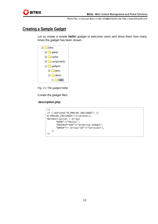

# **Creating a Sample Gadget**

Let us create a simple **Hello!** gadget to welcome users and show them how many times the gadget has been shown.

| $\Box$ bitrix         |
|-----------------------|
| $\Box$ admin          |
| ⊡ Cache               |
| <b>E</b> □ components |
| $\Box$ gadgets        |
| $\Box$ bitrix         |
| ⊟ i⊟ demo             |
| nello<br>$\cdot$      |

*Fig. 2.1 The gadget folder* 

Create the gadget files:

### **.description.php**:

```
<? 
if (!defined("B_PROLOG_INCLUDED") || 
B_PROLOG_INCLUDED!==true)die(); 
$arDescription = Array( 
       "NAME"=>"Hello!", 
       "DESCRIPTION"=>"Greeting Gadget", 
       "GROUP"=> Array("ID"=>"services"), 
    ); 
?>
```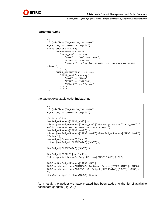

#### **.parameters.php**:

```
<? 
if (!defined("B_PROLOG_INCLUDED") || 
B_PROLOG_INCLUDED!==true)die();
$arParameters = Array( 
       "PARAMETERS"=> Array( 
           "TEXT_MSG"=> Array( 
              "NAME" => "Welcome text", 
              "TYPE" => "STRING", 
              "DEFAULT" => "Hello, #NAME#! You've seen me #CNT# 
times.", 
           ), ), 
        "USER_PARAMETERS" => Array( 
           "TEXT_NAME"=> Array( 
              "NAME" => "Name", 
              "TYPE" => "STRING", 
              "DEFAULT" => "friend", 
           ),),); 
?>
```
the gadget executable code: **index.php**:

```
<? 
if (!defined("B_PROLOG_INCLUDED") || 
B_PROLOG_INCLUDED!==true)die();
// initialize 
$arGadgetParams["TEXT_MSG"] = 
(isset($arGadgetParams["TEXT_MSG"])?$arGadgetParams["TEXT_MSG"]:" 
Hello, #NAME#! You've seen me #CNT# times."); 
$arGadgetParams["TEXT_NAME"] = 
(isset($arGadgetParams["TEXT_NAME"])?$arGadgetParams["TEXT_NAME"]:
"friend"); 
$arGadget["USERDATA"]["CNT"] = 
intval($arGadget["USERDATA"]["CNT"]); 
$arGadget["USERDATA"]["CNT"]++; 
$arGadget["TITLE"] = "Hello, 
".htmlspecialchars($arGadgetParams["TEXT_NAME"])."!"; 
$MSG = $arGadgetParams["TEXT_MSG"]; 
$MSG = str_replace("#NAME#", $arGadgetParams["TEXT_NAME"], $MSG); 
$MSG = str_replace("#CNT#", $arGadget["USERDATA"]["CNT"], $MSG); 
?> 
<p><?=htmlspecialchars($MSG);?></p>
```
As a result, the gadget we have created has been added to the list of available dashboard gadgets (Fig. 2.2):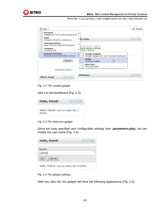

| Personal<br>Gadgets for most used personal tools                                    |   |                                                                     |               |
|-------------------------------------------------------------------------------------|---|---------------------------------------------------------------------|---------------|
| Staff<br>Company structure, employees                                               |   | ▶ 1y Tasks                                                          | $\frac{1}{2}$ |
| <b>Communications</b><br>Blogs, Forums, Shared Documents<br>Company<br>Company Life | r | ue date is not assigned<br>heck global settings<br>riority: Normal  |               |
| <b>External Services</b><br>Internet-based information services                     |   | <b>Google Gadgets</b><br>Google Gadgets For Your Personal Dashboard |               |
| Search                                                                              | È | Hello!<br>hì<br>Greeting Gadget                                     |               |
|                                                                                     | s | <b>RSS Feed</b><br>RSS news feed                                    |               |
| extended search                                                                     |   | <b>Birthdays</b>                                                    |               |

*Fig. 2.2 The created gadget* 

Add it to the dashboard (Fig. 2.3):

| Hello, friend!                            | $\vert \mathbf{v} \vert$ $\vert - \vert \vert \mathbf{x} \vert$ |
|-------------------------------------------|-----------------------------------------------------------------|
| Hello, friend! You've seen me 1<br>times. |                                                                 |

*Fig. 2.3 The Welcome gadget* 

Since we have specified user configurable settings (see **.parameters.php**), we can modify the user name (Fig. 2.4):

| Hello, friend!                         | $-1$ |
|----------------------------------------|------|
| Name:<br>Jason<br>∣-Cancel<br>OK.      |      |
| Hello, friend! You've seen me 4 times. |      |

*Fig. 2.4 The gadget settings* 

After you click OK, the gadget will have the following appearance (Fig. 2.5):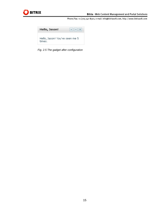



*Fig. 2.5 The gadget after configuration*